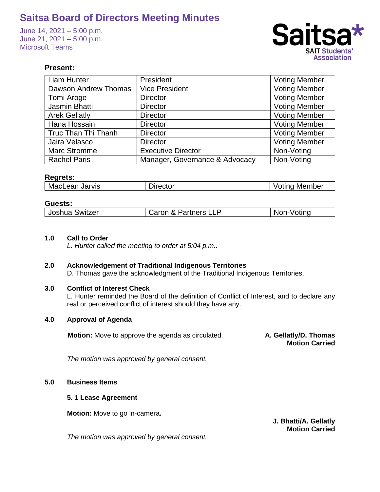June 14, 2021 – 5:00 p.m. June 21, 2021 – 5:00 p.m. Microsoft Teams



## **Present:**

| <b>Liam Hunter</b>   | President                      | <b>Voting Member</b> |
|----------------------|--------------------------------|----------------------|
| Dawson Andrew Thomas | <b>Vice President</b>          | <b>Voting Member</b> |
| Tomi Aroge           | <b>Director</b>                | <b>Voting Member</b> |
| Jasmin Bhatti        | <b>Director</b>                | <b>Voting Member</b> |
| <b>Arek Gellatly</b> | <b>Director</b>                | <b>Voting Member</b> |
| Hana Hossain         | <b>Director</b>                | <b>Voting Member</b> |
| Truc Than Thi Thanh  | <b>Director</b>                | <b>Voting Member</b> |
| Jaira Velasco        | <b>Director</b>                | <b>Voting Member</b> |
| Marc Stromme         | <b>Executive Director</b>      | Non-Voting           |
| <b>Rachel Paris</b>  | Manager, Governance & Advocacy | Non-Voting           |

### **Regrets:**

| MacLean Jarvis | Director | <b>Voting Member</b> |  |
|----------------|----------|----------------------|--|

### **Guests:**

| Joshua<br>. Switzer | Partners L<br><u>___</u><br>v<br>า LL⊾ | 'ntina<br>$\sim$ |
|---------------------|----------------------------------------|------------------|
|                     |                                        |                  |

#### **1.0 Call to Order**

*L. Hunter called the meeting to order at 5:04 p.m..*

#### **2.0 Acknowledgement of Traditional Indigenous Territories**

D. Thomas gave the acknowledgment of the Traditional Indigenous Territories.

### **3.0 Conflict of Interest Check**

L. Hunter reminded the Board of the definition of Conflict of Interest, and to declare any real or perceived conflict of interest should they have any.

## **4.0 Approval of Agenda**

**Motion:** Move to approve the agenda as circulated. **A. Gellatly/D. Thomas** 

**Motion Carried**

*The motion was approved by general consent.*

#### **5.0 Business Items**

#### **5. 1 Lease Agreement**

**Motion:** Move to go in-camera**.** 

**J. Bhatti/A. Gellatly Motion Carried**

*The motion was approved by general consent.*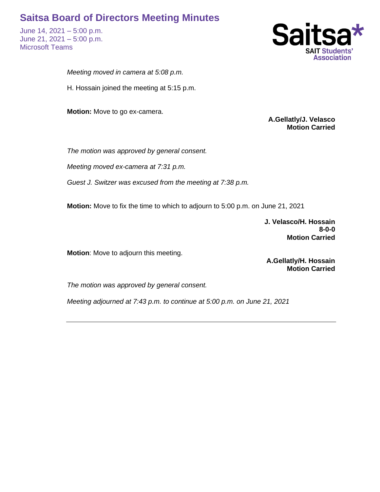June 14, 2021 – 5:00 p.m. June 21, 2021 – 5:00 p.m. Microsoft Teams



*Meeting moved in camera at 5:08 p.m.*

H. Hossain joined the meeting at 5:15 p.m.

**Motion:** Move to go ex-camera.

**A.Gellatly/J. Velasco Motion Carried**

*The motion was approved by general consent.*

*Meeting moved ex-camera at 7:31 p.m.*

*Guest J. Switzer was excused from the meeting at 7:38 p.m.* 

**Motion:** Move to fix the time to which to adjourn to 5:00 p.m. on June 21, 2021

**J. Velasco/H. Hossain 8-0-0 Motion Carried**

**Motion**: Move to adjourn this meeting.

**A.Gellatly/H. Hossain Motion Carried**

*The motion was approved by general consent.*

*Meeting adjourned at 7:43 p.m. to continue at 5:00 p.m. on June 21, 2021*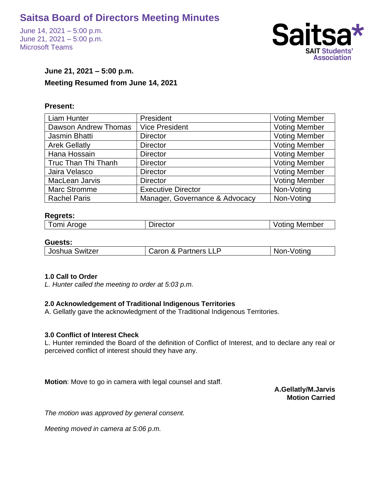June 14, 2021 – 5:00 p.m. June 21, 2021 – 5:00 p.m. Microsoft Teams



## **June 21, 2021 – 5:00 p.m. Meeting Resumed from June 14, 2021**

## **Present:**

| <b>Liam Hunter</b>         | President                      | <b>Voting Member</b> |
|----------------------------|--------------------------------|----------------------|
| Dawson Andrew Thomas       | <b>Vice President</b>          | <b>Voting Member</b> |
| Jasmin Bhatti              | <b>Director</b>                | <b>Voting Member</b> |
| <b>Arek Gellatly</b>       | <b>Director</b>                | <b>Voting Member</b> |
| Hana Hossain               | <b>Director</b>                | <b>Voting Member</b> |
| <b>Truc Than Thi Thanh</b> | <b>Director</b>                | <b>Voting Member</b> |
| Jaira Velasco              | <b>Director</b>                | <b>Voting Member</b> |
| MacLean Jarvis             | <b>Director</b>                | <b>Voting Member</b> |
| Marc Stromme               | <b>Executive Director</b>      | Non-Voting           |
| <b>Rachel Paris</b>        | Manager, Governance & Advocacy | Non-Voting           |

### **Regrets:**

### **Guests:**

| ່ 'oshua J<br>Switzer | rtners.<br>----<br>zan.<br>$\sim$<br>ᄂᄂ | . |
|-----------------------|-----------------------------------------|---|
|                       |                                         |   |

## **1.0 Call to Order**

*L. Hunter called the meeting to order at 5:03 p.m.*

## **2.0 Acknowledgement of Traditional Indigenous Territories**

A. Gellatly gave the acknowledgment of the Traditional Indigenous Territories.

#### **3.0 Conflict of Interest Check**

L. Hunter reminded the Board of the definition of Conflict of Interest, and to declare any real or perceived conflict of interest should they have any.

**Motion**: Move to go in camera with legal counsel and staff.

**A.Gellatly/M.Jarvis Motion Carried**

*The motion was approved by general consent.*

*Meeting moved in camera at 5:06 p.m.*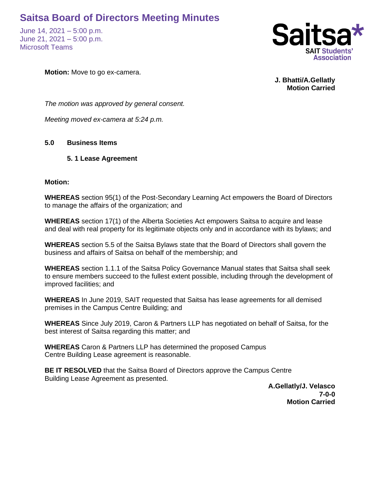June 14, 2021 – 5:00 p.m. June 21, 2021 – 5:00 p.m. Microsoft Teams



**Motion:** Move to go ex-camera.

**J. Bhatti/A.Gellatly Motion Carried**

*The motion was approved by general consent.*

*Meeting moved ex-camera at 5:24 p.m.*

## **5.0 Business Items**

## **5. 1 Lease Agreement**

### **Motion:**

**WHEREAS** section 95(1) of the Post-Secondary Learning Act empowers the Board of Directors to manage the affairs of the organization; and

**WHEREAS** section 17(1) of the Alberta Societies Act empowers Saitsa to acquire and lease and deal with real property for its legitimate objects only and in accordance with its bylaws; and

**WHEREAS** section 5.5 of the Saitsa Bylaws state that the Board of Directors shall govern the business and affairs of Saitsa on behalf of the membership; and

**WHEREAS** section 1.1.1 of the Saitsa Policy Governance Manual states that Saitsa shall seek to ensure members succeed to the fullest extent possible, including through the development of improved facilities; and

**WHEREAS** In June 2019, SAIT requested that Saitsa has lease agreements for all demised premises in the Campus Centre Building; and

**WHEREAS** Since July 2019, Caron & Partners LLP has negotiated on behalf of Saitsa, for the best interest of Saitsa regarding this matter; and

**WHEREAS** Caron & Partners LLP has determined the proposed Campus Centre Building Lease agreement is reasonable.

**BE IT RESOLVED** that the Saitsa Board of Directors approve the Campus Centre Building Lease Agreement as presented.

**A.Gellatly/J. Velasco 7-0-0 Motion Carried**